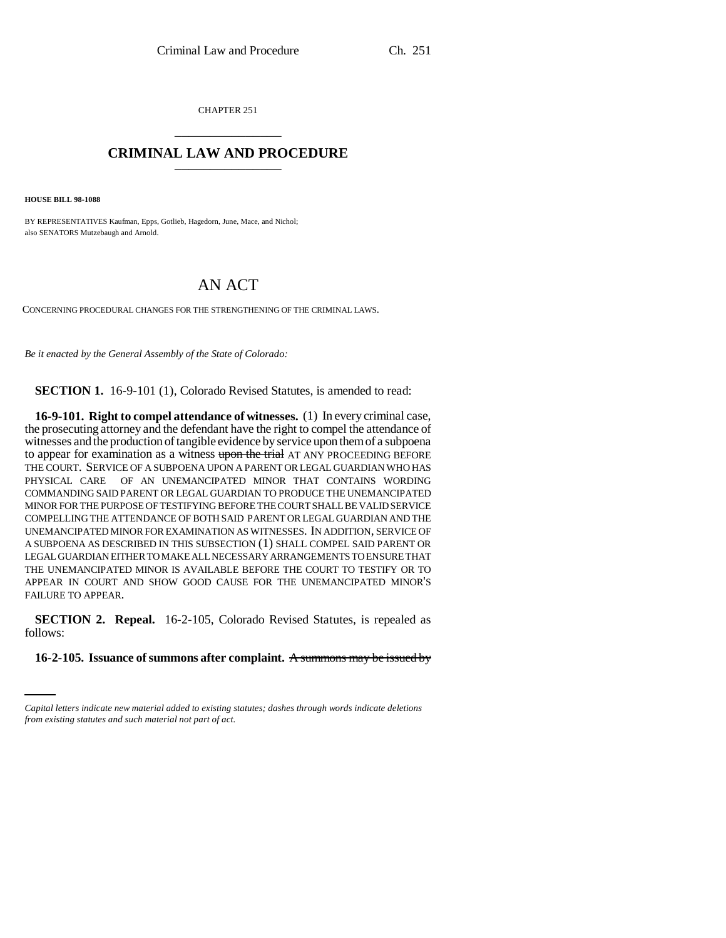CHAPTER 251 \_\_\_\_\_\_\_\_\_\_\_\_\_\_\_

## **CRIMINAL LAW AND PROCEDURE** \_\_\_\_\_\_\_\_\_\_\_\_\_\_\_

**HOUSE BILL 98-1088**

BY REPRESENTATIVES Kaufman, Epps, Gotlieb, Hagedorn, June, Mace, and Nichol; also SENATORS Mutzebaugh and Arnold.

## AN ACT

CONCERNING PROCEDURAL CHANGES FOR THE STRENGTHENING OF THE CRIMINAL LAWS.

*Be it enacted by the General Assembly of the State of Colorado:*

**SECTION 1.** 16-9-101 (1), Colorado Revised Statutes, is amended to read:

**16-9-101. Right to compel attendance of witnesses.** (1) In every criminal case, the prosecuting attorney and the defendant have the right to compel the attendance of witnesses and the production of tangible evidence by service upon them of a subpoena to appear for examination as a witness upon the trial AT ANY PROCEEDING BEFORE THE COURT. SERVICE OF A SUBPOENA UPON A PARENT OR LEGAL GUARDIAN WHO HAS PHYSICAL CARE OF AN UNEMANCIPATED MINOR THAT CONTAINS WORDING COMMANDING SAID PARENT OR LEGAL GUARDIAN TO PRODUCE THE UNEMANCIPATED MINOR FOR THE PURPOSE OF TESTIFYING BEFORE THE COURT SHALL BE VALID SERVICE COMPELLING THE ATTENDANCE OF BOTH SAID PARENT OR LEGAL GUARDIAN AND THE UNEMANCIPATED MINOR FOR EXAMINATION AS WITNESSES. IN ADDITION, SERVICE OF A SUBPOENA AS DESCRIBED IN THIS SUBSECTION (1) SHALL COMPEL SAID PARENT OR LEGAL GUARDIAN EITHER TO MAKE ALL NECESSARY ARRANGEMENTS TO ENSURE THAT THE UNEMANCIPATED MINOR IS AVAILABLE BEFORE THE COURT TO TESTIFY OR TO APPEAR IN COURT AND SHOW GOOD CAUSE FOR THE UNEMANCIPATED MINOR'S FAILURE TO APPEAR.

follows: **SECTION 2. Repeal.** 16-2-105, Colorado Revised Statutes, is repealed as

## **16-2-105. Issuance of summons after complaint.** A summons may be issued by

*Capital letters indicate new material added to existing statutes; dashes through words indicate deletions from existing statutes and such material not part of act.*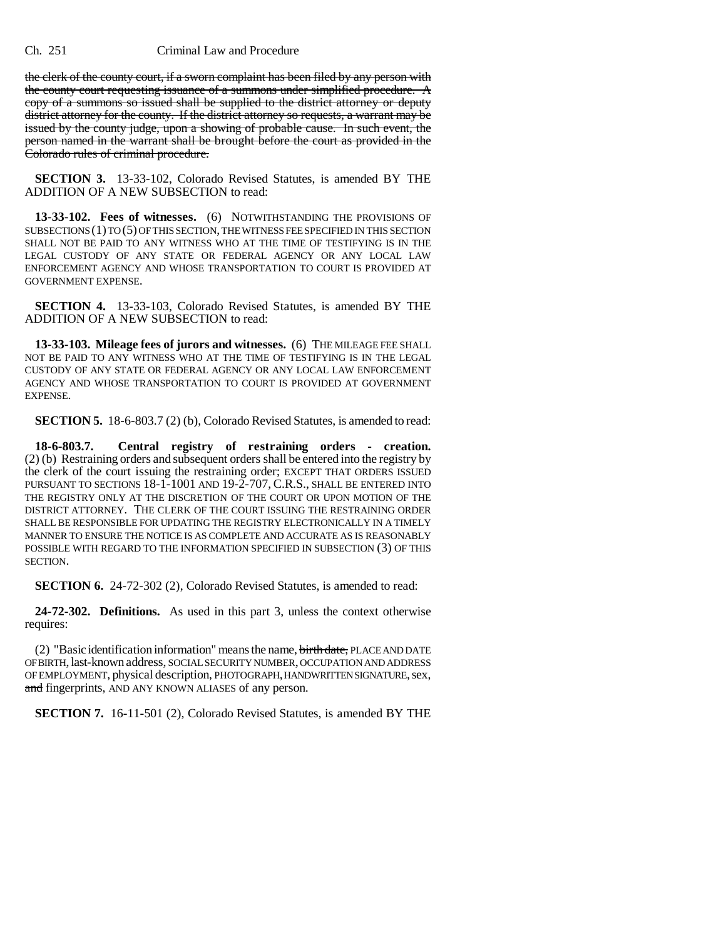the clerk of the county court, if a sworn complaint has been filed by any person with the county court requesting issuance of a summons under simplified procedure. A copy of a summons so issued shall be supplied to the district attorney or deputy district attorney for the county. If the district attorney so requests, a warrant may be issued by the county judge, upon a showing of probable cause. In such event, the person named in the warrant shall be brought before the court as provided in the Colorado rules of criminal procedure.

**SECTION 3.** 13-33-102, Colorado Revised Statutes, is amended BY THE ADDITION OF A NEW SUBSECTION to read:

**13-33-102. Fees of witnesses.** (6) NOTWITHSTANDING THE PROVISIONS OF SUBSECTIONS (1) TO (5) OF THIS SECTION, THE WITNESS FEE SPECIFIED IN THIS SECTION SHALL NOT BE PAID TO ANY WITNESS WHO AT THE TIME OF TESTIFYING IS IN THE LEGAL CUSTODY OF ANY STATE OR FEDERAL AGENCY OR ANY LOCAL LAW ENFORCEMENT AGENCY AND WHOSE TRANSPORTATION TO COURT IS PROVIDED AT GOVERNMENT EXPENSE.

**SECTION 4.** 13-33-103, Colorado Revised Statutes, is amended BY THE ADDITION OF A NEW SUBSECTION to read:

**13-33-103. Mileage fees of jurors and witnesses.** (6) THE MILEAGE FEE SHALL NOT BE PAID TO ANY WITNESS WHO AT THE TIME OF TESTIFYING IS IN THE LEGAL CUSTODY OF ANY STATE OR FEDERAL AGENCY OR ANY LOCAL LAW ENFORCEMENT AGENCY AND WHOSE TRANSPORTATION TO COURT IS PROVIDED AT GOVERNMENT EXPENSE.

**SECTION 5.** 18-6-803.7 (2) (b), Colorado Revised Statutes, is amended to read:

**18-6-803.7. Central registry of restraining orders - creation.** (2) (b) Restraining orders and subsequent orders shall be entered into the registry by the clerk of the court issuing the restraining order; EXCEPT THAT ORDERS ISSUED PURSUANT TO SECTIONS 18-1-1001 AND 19-2-707, C.R.S., SHALL BE ENTERED INTO THE REGISTRY ONLY AT THE DISCRETION OF THE COURT OR UPON MOTION OF THE DISTRICT ATTORNEY. THE CLERK OF THE COURT ISSUING THE RESTRAINING ORDER SHALL BE RESPONSIBLE FOR UPDATING THE REGISTRY ELECTRONICALLY IN A TIMELY MANNER TO ENSURE THE NOTICE IS AS COMPLETE AND ACCURATE AS IS REASONABLY POSSIBLE WITH REGARD TO THE INFORMATION SPECIFIED IN SUBSECTION (3) OF THIS SECTION.

**SECTION 6.** 24-72-302 (2), Colorado Revised Statutes, is amended to read:

**24-72-302. Definitions.** As used in this part 3, unless the context otherwise requires:

(2) "Basic identification information" means the name, birth date, PLACE AND DATE OF BIRTH, last-known address, SOCIAL SECURITY NUMBER, OCCUPATION AND ADDRESS OF EMPLOYMENT, physical description, PHOTOGRAPH, HANDWRITTEN SIGNATURE, sex, and fingerprints, AND ANY KNOWN ALIASES of any person.

**SECTION 7.** 16-11-501 (2), Colorado Revised Statutes, is amended BY THE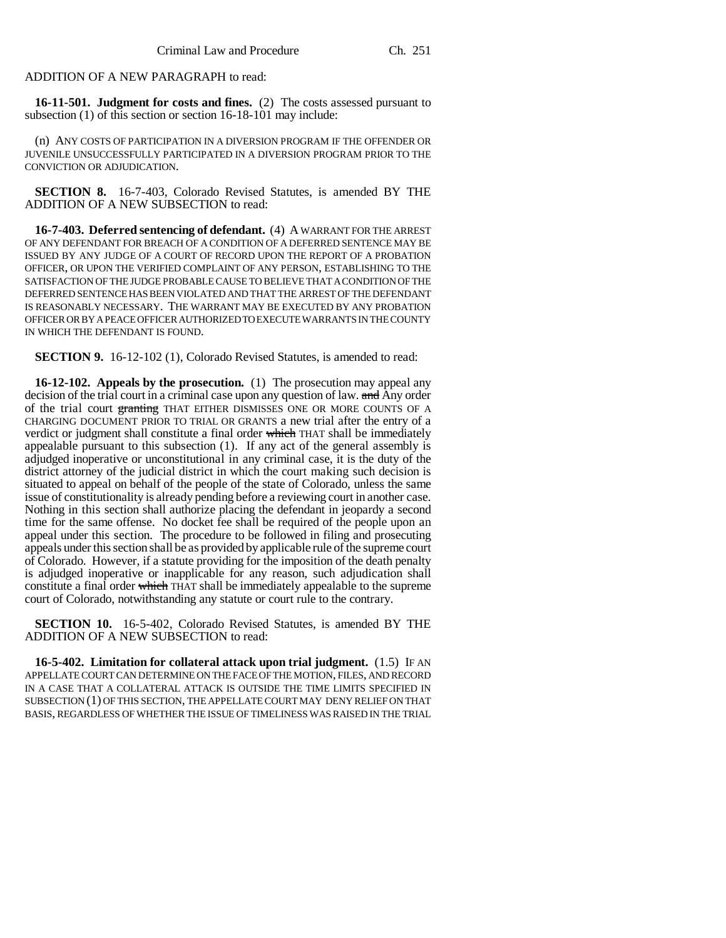## ADDITION OF A NEW PARAGRAPH to read:

**16-11-501. Judgment for costs and fines.** (2) The costs assessed pursuant to subsection (1) of this section or section 16-18-101 may include:

(n) ANY COSTS OF PARTICIPATION IN A DIVERSION PROGRAM IF THE OFFENDER OR JUVENILE UNSUCCESSFULLY PARTICIPATED IN A DIVERSION PROGRAM PRIOR TO THE CONVICTION OR ADJUDICATION.

**SECTION 8.** 16-7-403, Colorado Revised Statutes, is amended BY THE ADDITION OF A NEW SUBSECTION to read:

**16-7-403. Deferred sentencing of defendant.** (4) A WARRANT FOR THE ARREST OF ANY DEFENDANT FOR BREACH OF A CONDITION OF A DEFERRED SENTENCE MAY BE ISSUED BY ANY JUDGE OF A COURT OF RECORD UPON THE REPORT OF A PROBATION OFFICER, OR UPON THE VERIFIED COMPLAINT OF ANY PERSON, ESTABLISHING TO THE SATISFACTION OF THE JUDGE PROBABLE CAUSE TO BELIEVE THAT A CONDITION OF THE DEFERRED SENTENCE HAS BEEN VIOLATED AND THAT THE ARREST OF THE DEFENDANT IS REASONABLY NECESSARY. THE WARRANT MAY BE EXECUTED BY ANY PROBATION OFFICER OR BY A PEACE OFFICER AUTHORIZED TO EXECUTE WARRANTS IN THE COUNTY IN WHICH THE DEFENDANT IS FOUND.

**SECTION 9.** 16-12-102 (1), Colorado Revised Statutes, is amended to read:

**16-12-102. Appeals by the prosecution.** (1) The prosecution may appeal any decision of the trial court in a criminal case upon any question of law. and Any order of the trial court granting THAT EITHER DISMISSES ONE OR MORE COUNTS OF A CHARGING DOCUMENT PRIOR TO TRIAL OR GRANTS a new trial after the entry of a verdict or judgment shall constitute a final order which THAT shall be immediately appealable pursuant to this subsection (1). If any act of the general assembly is adjudged inoperative or unconstitutional in any criminal case, it is the duty of the district attorney of the judicial district in which the court making such decision is situated to appeal on behalf of the people of the state of Colorado, unless the same issue of constitutionality is already pending before a reviewing court in another case. Nothing in this section shall authorize placing the defendant in jeopardy a second time for the same offense. No docket fee shall be required of the people upon an appeal under this section. The procedure to be followed in filing and prosecuting appeals under this section shall be as provided by applicable rule of the supreme court of Colorado. However, if a statute providing for the imposition of the death penalty is adjudged inoperative or inapplicable for any reason, such adjudication shall constitute a final order which THAT shall be immediately appealable to the supreme court of Colorado, notwithstanding any statute or court rule to the contrary.

**SECTION 10.** 16-5-402, Colorado Revised Statutes, is amended BY THE ADDITION OF A NEW SUBSECTION to read:

**16-5-402. Limitation for collateral attack upon trial judgment.** (1.5) IF AN APPELLATE COURT CAN DETERMINE ON THE FACE OF THE MOTION, FILES, AND RECORD IN A CASE THAT A COLLATERAL ATTACK IS OUTSIDE THE TIME LIMITS SPECIFIED IN SUBSECTION (1) OF THIS SECTION, THE APPELLATE COURT MAY DENY RELIEF ON THAT BASIS, REGARDLESS OF WHETHER THE ISSUE OF TIMELINESS WAS RAISED IN THE TRIAL